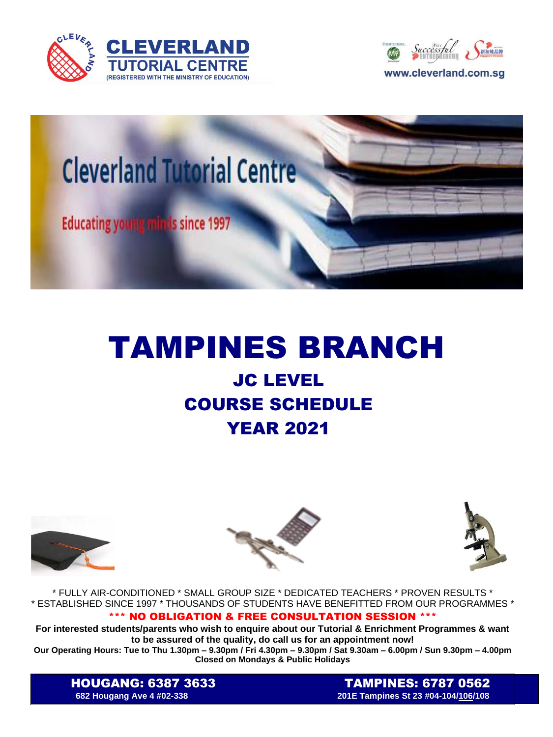





## TAMPINES BRANCH

## JC LEVEL COURSE SCHEDULE YEAR 2021







\* FULLY AIR-CONDITIONED \* SMALL GROUP SIZE \* DEDICATED TEACHERS \* PROVEN RESULTS \* \* ESTABLISHED SINCE 1997 \* THOUSANDS OF STUDENTS HAVE BENEFITTED FROM OUR PROGRAMMES \*

## \*\*\* NO OBLIGATION & FREE CONSULTATION SESSION \*\*\*

**For interested students/parents who wish to enquire about our Tutorial & Enrichment Programmes & want to be assured of the quality, do call us for an appointment now!**

**Our Operating Hours: Tue to Thu 1.30pm – 9.30pm / Fri 4.30pm – 9.30pm / Sat 9.30am – 6.00pm / Sun 9.30pm – 4.00pm Closed on Mondays & Public Holidays**

HOUGANG: 6387 3633TAMPINES: 6787 0562 **682 Hougang Ave 4 #02-338 201E Tampines St 23 #04-104/106/108**